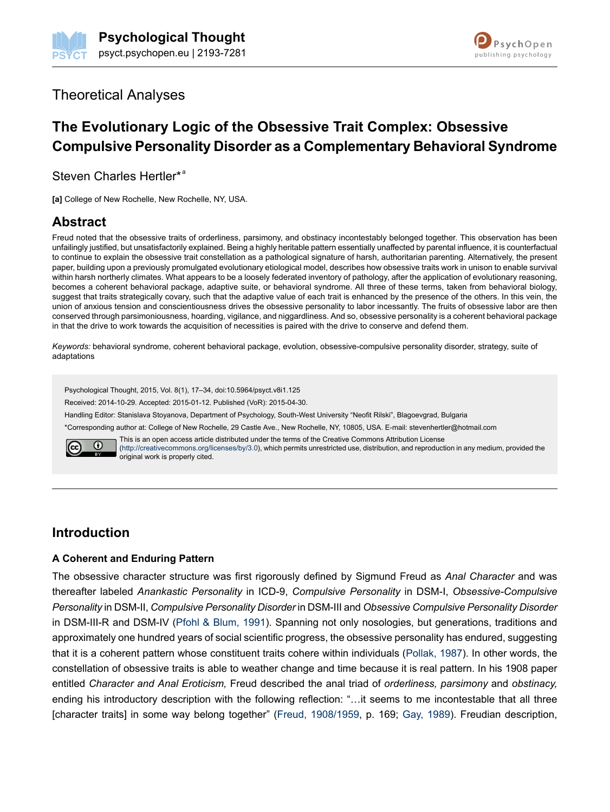

Theoretical Analyses

# **The Evolutionary Logic of the Obsessive Trait Complex: Obsessive Compulsive Personality Disorder as a Complementary Behavioral Syndrome**

Steven Charles Hertler<sup>\*</sup><sup>a</sup>

**[a]** College of New Rochelle, New Rochelle, NY, USA.

# **Abstract**

Freud noted that the obsessive traits of orderliness, parsimony, and obstinacy incontestably belonged together. This observation has been unfailingly justified, but unsatisfactorily explained. Being a highly heritable pattern essentially unaffected by parental influence, it is counterfactual to continue to explain the obsessive trait constellation as a pathological signature of harsh, authoritarian parenting. Alternatively, the present paper, building upon a previously promulgated evolutionary etiological model, describes how obsessive traits work in unison to enable survival within harsh northerly climates. What appears to be a loosely federated inventory of pathology, after the application of evolutionary reasoning, becomes a coherent behavioral package, adaptive suite, or behavioral syndrome. All three of these terms, taken from behavioral biology, suggest that traits strategically covary, such that the adaptive value of each trait is enhanced by the presence of the others. In this vein, the union of anxious tension and conscientiousness drives the obsessive personality to labor incessantly. The fruits of obsessive labor are then conserved through parsimoniousness, hoarding, vigilance, and niggardliness. And so, obsessive personality is a coherent behavioral package in that the drive to work towards the acquisition of necessities is paired with the drive to conserve and defend them.

*Keywords:* behavioral syndrome, coherent behavioral package, evolution, obsessive-compulsive personality disorder, strategy, suite of adaptations

Psychological Thought, 2015, Vol. 8(1), 17–34, doi:10.5964/psyct.v8i1.125

Received: 2014-10-29. Accepted: 2015-01-12. Published (VoR): 2015-04-30.

Handling Editor: Stanislava Stoyanova, Department of Psychology, South-West University "Neofit Rilski", Blagoevgrad, Bulgaria

\*Corresponding author at: College of New Rochelle, 29 Castle Ave., New Rochelle, NY, 10805, USA. E-mail: stevenhertler@hotmail.com



This is an open access article distributed under the terms of the Creative Commons Attribution License [\(http://creativecommons.org/licenses/by/3.0\)](http://creativecommons.org/licenses/by/3.0), which permits unrestricted use, distribution, and reproduction in any medium, provided the original work is properly cited.

# **Introduction**

### **A Coherent and Enduring Pattern**

The obsessive character structure was first rigorously defined by Sigmund Freud as *Anal Character* and was thereafter labeled *Anankastic Personality* in ICD-9, *Compulsive Personality* in DSM-I, *Obsessive-Compulsive Personality* in DSM-II, *Compulsive Personality Disorder* in DSM-IIIand *Obsessive Compulsive Personality Disorder* in DSM-III-R and DSM-IV (Pfohl & [Blum,](#page-14-0) 1991). Spanning not only nosologies, but generations, traditions and approximately one hundred years of social scientific progress, the obsessive personality has endured, suggesting that it is a coherent pattern whose constituent traits cohere within individuals [\(Pollak,](#page-15-0) 1987). In other words, the constellation of obsessive traits is able to weather change and time because it is real pattern. In his 1908 paper entitled *Character and Anal Eroticism,* Freud described the anal triad of *orderliness, parsimony* and *obstinacy,* ending his introductory description with the following reflection: "…it seems to me incontestable that all three [character traits] in some way belong together" (Freud, [1908/1959,](#page-12-0) p. 169; Gay, [1989\)](#page-12-1). Freudian description,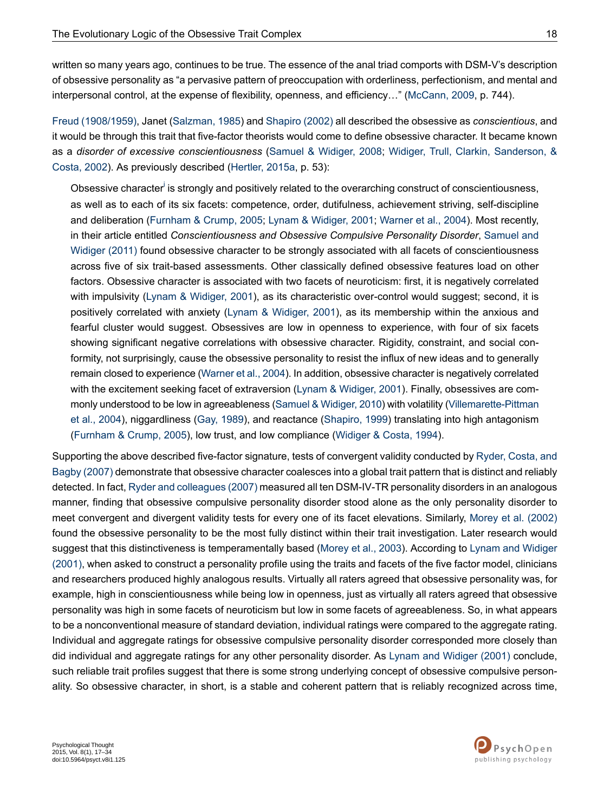written so many years ago, continues to be true. The essence of the anal triad comports with DSM-V's description of obsessive personality as "a pervasive pattern of preoccupation with orderliness, perfectionism, and mental and interpersonal control, at the expense of flexibility, openness, and efficiency…" [\(McCann,](#page-14-1) 2009, p. 744).

Freud [\(1908/1959\)](#page-12-0), Janet ([Salzman,](#page-15-1) 1985) and [Shapiro](#page-15-2) (2002) all described the obsessive as *conscientious*, and it would be through this trait that five-factor theorists would come to define obsessive character. It became known as a *disorder of excessive conscientiousness* (Samuel & [Widiger,](#page-15-3) 2008; Widiger, Trull, Clarkin, [Sanderson,](#page-16-0) & [Costa,](#page-16-0) 2002). As previously described [\(Hertler,](#page-13-0) 2015a, p. 53):

Obsess[i](#page-10-0)ve character<sup>i</sup> is strongly and positively related to the overarching construct of conscientiousness, as well as to each of its six facets: competence, order, dutifulness, achievement striving, self-discipline and deliberation [\(Furnham](#page-12-2) & Crump, 2005; Lynam & [Widiger,](#page-13-1) 2001; [Warner](#page-16-1) et al., 2004). Most recently, in their article entitled *Conscientiousness and Obsessive Compulsive Personality Disorder*, [Samuel](#page-15-4) and [Widiger](#page-15-4) (2011) found obsessive character to be strongly associated with all facets of conscientiousness across five of six trait-based assessments. Other classically defined obsessive features load on other factors. Obsessive character is associated with two facets of neuroticism: first, it is negatively correlated with impulsivity (Lynam & [Widiger,](#page-13-1) 2001), as its characteristic over-control would suggest; second, it is positively correlated with anxiety (Lynam & [Widiger,](#page-13-1) 2001), as its membership within the anxious and fearful cluster would suggest. Obsessives are low in openness to experience, with four of six facets showing significant negative correlations with obsessive character. Rigidity, constraint, and social conformity, not surprisingly, cause the obsessive personality to resist the influx of new ideas and to generally remain closed to experience ([Warner](#page-16-1) et al., 2004). In addition, obsessive character is negatively correlated with the excitement seeking facet of extraversion (Lynam & [Widiger,](#page-13-1) 2001). Finally, obsessives are com-monly understood to be low in agreeableness (Samuel & Widiger, 2010) with volatility [\(Villemarette-Pittman](#page-16-2) et al., [2004\)](#page-16-2), niggardliness (Gay, [1989](#page-12-1)), and reactance ([Shapiro,](#page-15-6) 1999) translating into high antagonism [\(Furnham](#page-12-2) & Crump, 2005), low trust, and low compliance ([Widiger](#page-16-3) & Costa, 1994).

Supporting the above described five-factor signature, tests of convergent validity conducted by [Ryder,](#page-15-7) Costa, and Bagby [\(2007\)](#page-15-7) demonstrate that obsessive character coalesces into a global trait pattern that is distinct and reliably detected. In fact, Ryder and colleagues (2007) measured all ten DSM-IV-TR personality disorders in an analogous manner, finding that obsessive compulsive personality disorder stood alone as the only personality disorder to meet convergent and divergent validity tests for every one of its facet elevations. Similarly, Morey et al. [\(2002\)](#page-14-2) found the obsessive personality to be the most fully distinct within their trait investigation. Later research would suggest that this distinctiveness is temperamentally based ([Morey](#page-14-3) et al., 2003). According to Lynam and [Widiger](#page-13-1) [\(2001\),](#page-13-1) when asked to construct a personality profile using the traits and facets of the five factor model, clinicians and researchers produced highly analogous results. Virtually all raters agreed that obsessive personality was, for example, high in conscientiousness while being low in openness, just as virtually all raters agreed that obsessive personality was high in some facets of neuroticism but low in some facets of agreeableness. So, in what appears to be a nonconventional measure of standard deviation, individual ratings were compared to the aggregate rating. Individual and aggregate ratings for obsessive compulsive personality disorder corresponded more closely than did individual and aggregate ratings for any other personality disorder. As Lynam and [Widiger](#page-13-1) (2001) conclude, such reliable trait profiles suggest that there is some strong underlying concept of obsessive compulsive personality. So obsessive character, in short, is a stable and coherent pattern that is reliably recognized across time,

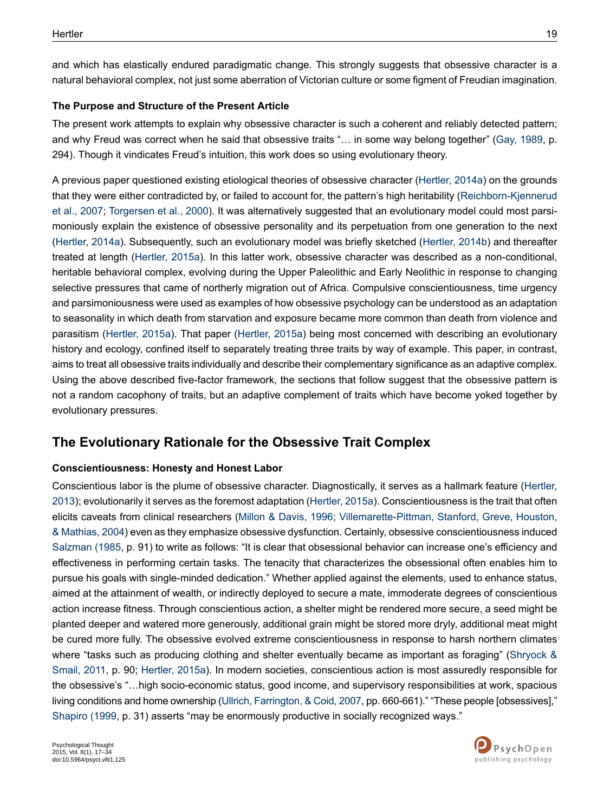and which has elastically endured paradigmatic change. This strongly suggests that obsessive character is a natural behavioral complex, not just some aberration of Victorian culture or some figment of Freudian imagination.

## **The Purpose and Structure of the Present Article**

The present work attempts to explain why obsessive character is such a coherent and reliably detected pattern; and why Freud was correct when he said that obsessive traits "… in some way belong together" (Gay, [1989](#page-12-1), p. 294). Though it vindicates Freud's intuition, this work does so using evolutionary theory.

A previous paper questioned existing etiological theories of obsessive character ([Hertler,](#page-12-3) 2014a) on the grounds that they were either contradicted by, or failed to account for, the pattern's high heritability ([Reichborn-Kjennerud](#page-15-8) et al., [2007;](#page-15-8) [Torgersen](#page-16-4) et al., 2000). It was alternatively suggested that an evolutionary model could most parsimoniously explain the existence of obsessive personality and its perpetuation from one generation to the next [\(Hertler,](#page-12-3) 2014a). Subsequently, such an evolutionary model was briefly sketched ([Hertler,](#page-12-4) 2014b) and thereafter treated at length ([Hertler,](#page-13-0) 2015a). In this latter work, obsessive character was described as a non-conditional, heritable behavioral complex, evolving during the Upper Paleolithic and Early Neolithic in response to changing selective pressures that came of northerly migration out of Africa. Compulsive conscientiousness, time urgency and parsimoniousness were used as examples of how obsessive psychology can be understood as an adaptation to seasonality in which death from starvation and exposure became more common than death from violence and parasitism [\(Hertler,](#page-13-0) 2015a). That paper [\(Hertler,](#page-13-0) 2015a) being most concerned with describing an evolutionary history and ecology, confined itself to separately treating three traits by way of example. This paper, in contrast, aims to treat all obsessive traits individually and describe their complementary significance as an adaptive complex. Using the above described five-factor framework, the sections that follow suggest that the obsessive pattern is not a random cacophony of traits, but an adaptive complement of traits which have become yoked together by evolutionary pressures.

# **The Evolutionary Rationale for the Obsessive Trait Complex**

## **Conscientiousness: Honesty and Honest Labor**

Conscientious labor is the plume of obsessive character. Diagnostically, it serves as a hallmark feature [\(Hertler,](#page-12-5) [2013](#page-12-5)); evolutionarily it serves as the foremost adaptation ([Hertler,](#page-13-0) 2015a). Conscientiousness is the trait that often elicits caveats from clinical researchers (Millon & [Davis,](#page-14-4) 1996; [Villemarette-Pittman,](#page-16-2) Stanford, Greve, Houston, & [Mathias,](#page-16-2) 2004) even as they emphasize obsessive dysfunction. Certainly, obsessive conscientiousness induced [Salzman](#page-15-1) (1985, p. 91) to write as follows: "It is clear that obsessional behavior can increase one's efficiency and effectiveness in performing certain tasks. The tenacity that characterizes the obsessional often enables him to pursue his goals with single-minded dedication." Whether applied against the elements, used to enhance status, aimed at the attainment of wealth, or indirectly deployed to secure a mate, immoderate degrees of conscientious action increase fitness. Through conscientious action, a shelter might be rendered more secure, a seed might be planted deeper and watered more generously, additional grain might be stored more dryly, additional meat might be cured more fully. The obsessive evolved extreme conscientiousness in response to harsh northern climates where "tasks such as producing clothing and shelter eventually became as important as foraging" ([Shryock](#page-15-9) & [Smail,](#page-15-9) 2011, p. 90; [Hertler,](#page-13-0) 2015a). In modern societies, conscientious action is most assuredly responsible for the obsessive's "…high socio-economic status, good income, and supervisory responsibilities at work, spacious living conditions and home ownership (Ullrich, [Farrington,](#page-16-5) & Coid, 2007, pp. 660-661)." "These people [obsessives]," [Shapiro](#page-15-6) (1999, p. 31) asserts "may be enormously productive in socially recognized ways."

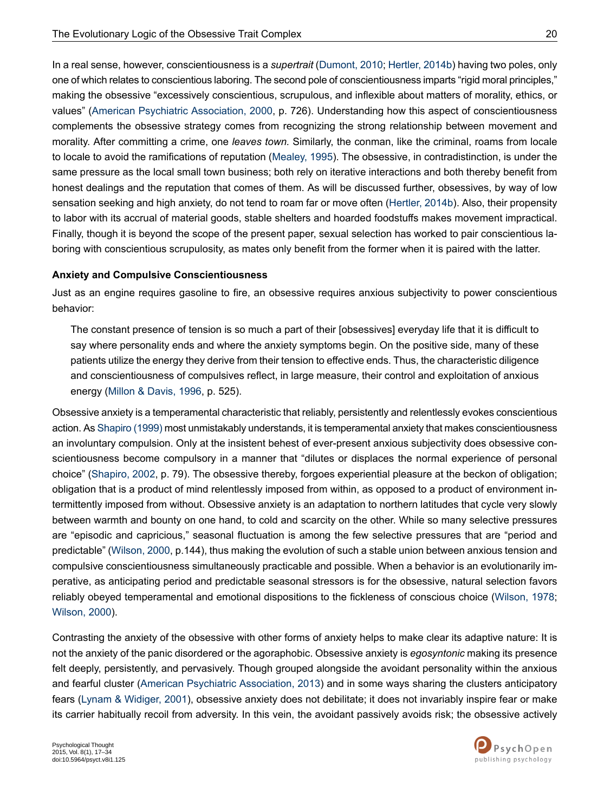In a real sense, however, conscientiousness is a *supertrait* ([Dumont,](#page-11-0) 2010; [Hertler,](#page-12-4) 2014b) having two poles, only one of which relates to conscientious laboring. The second pole of conscientiousness imparts "rigid moral principles," making the obsessive "excessively conscientious, scrupulous, and inflexible about matters of morality, ethics, or values" (American Psychiatric [Association,](#page-10-1) 2000, p. 726). Understanding how this aspect of conscientiousness complements the obsessive strategy comes from recognizing the strong relationship between movement and morality. After committing a crime, one *leaves town.* Similarly, the conman, like the criminal, roams from locale to locale to avoid the ramifications of reputation ([Mealey,](#page-14-5) 1995). The obsessive, in contradistinction, is under the same pressure as the local small town business; both rely on iterative interactions and both thereby benefit from honest dealings and the reputation that comes of them. As will be discussed further, obsessives, by way of low sensation seeking and high anxiety, do not tend to roam far or move often [\(Hertler,](#page-12-4) 2014b). Also, their propensity to labor with its accrual of material goods, stable shelters and hoarded foodstuffs makes movement impractical. Finally, though it is beyond the scope of the present paper, sexual selection has worked to pair conscientious laboring with conscientious scrupulosity, as mates only benefit from the former when it is paired with the latter.

## **Anxiety and Compulsive Conscientiousness**

Just as an engine requires gasoline to fire, an obsessive requires anxious subjectivity to power conscientious behavior:

The constant presence of tension is so much a part of their [obsessives] everyday life that it is difficult to say where personality ends and where the anxiety symptoms begin. On the positive side, many of these patients utilize the energy they derive from their tension to effective ends. Thus, the characteristic diligence and conscientiousness of compulsives reflect, in large measure, their control and exploitation of anxious energy (Millon & [Davis,](#page-14-4) 1996, p. 525).

Obsessive anxiety is a temperamental characteristic that reliably, persistently and relentlessly evokes conscientious action. As Shapiro (1999) most unmistakably understands, it is temperamental anxiety that makes conscientiousness an involuntary compulsion. Only at the insistent behest of ever-present anxious subjectivity does obsessive conscientiousness become compulsory in a manner that "dilutes or displaces the normal experience of personal choice" [\(Shapiro,](#page-15-2) 2002, p. 79). The obsessive thereby, forgoes experiential pleasure at the beckon of obligation; obligation that is a product of mind relentlessly imposed from within, as opposed to a product of environment intermittently imposed from without. Obsessive anxiety is an adaptation to northern latitudes that cycle very slowly between warmth and bounty on one hand, to cold and scarcity on the other. While so many selective pressures are "episodic and capricious," seasonal fluctuation is among the few selective pressures that are "period and predictable" ([Wilson,](#page-16-6) 2000, p.144), thus making the evolution of such a stable union between anxious tension and compulsive conscientiousness simultaneously practicable and possible. When a behavior is an evolutionarily imperative, as anticipating period and predictable seasonal stressors is for the obsessive, natural selection favors reliably obeyed temperamental and emotional dispositions to the fickleness of conscious choice [\(Wilson,](#page-16-7) 1978; [Wilson,](#page-16-6) 2000).

Contrasting the anxiety of the obsessive with other forms of anxiety helps to make clear its adaptive nature: It is not the anxiety of the panic disordered or the agoraphobic. Obsessive anxiety is *egosyntonic* making its presence felt deeply, persistently, and pervasively. Though grouped alongside the avoidant personality within the anxious and fearful cluster (American Psychiatric [Association,](#page-10-2) 2013) and in some ways sharing the clusters anticipatory fears (Lynam & [Widiger,](#page-13-1) 2001), obsessive anxiety does not debilitate; it does not invariably inspire fear or make its carrier habitually recoil from adversity. In this vein, the avoidant passively avoids risk; the obsessive actively

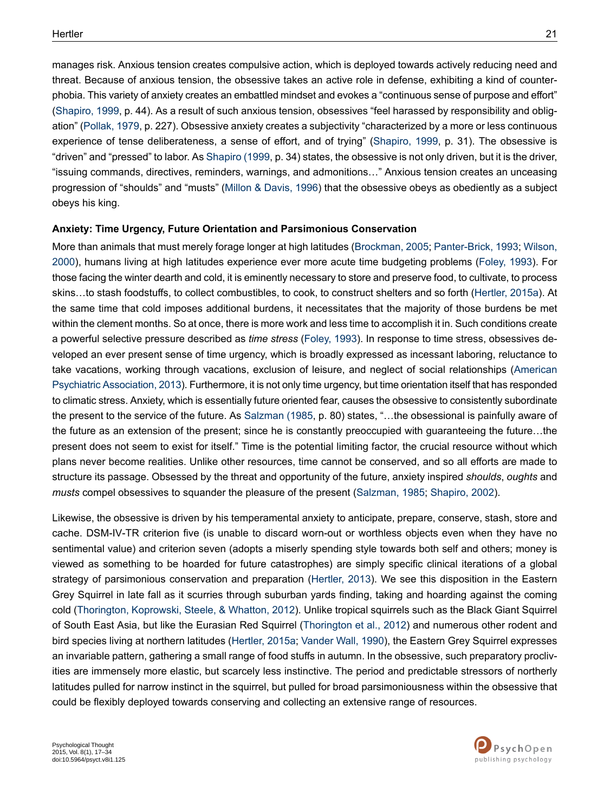manages risk. Anxious tension creates compulsive action, which is deployed towards actively reducing need and threat. Because of anxious tension, the obsessive takes an active role in defense, exhibiting a kind of counterphobia. This variety of anxiety creates an embattled mindset and evokes a "continuous sense of purpose and effort" [\(Shapiro,](#page-15-6) 1999, p. 44). As a result of such anxious tension, obsessives "feel harassed by responsibility and obligation" ([Pollak,](#page-15-10) 1979, p. 227). Obsessive anxiety creates a subjectivity "characterized by a more or less continuous experience of tense deliberateness, a sense of effort, and of trying" ([Shapiro,](#page-15-6) 1999, p. 31). The obsessive is "driven" and "pressed" to labor. As [Shapiro](#page-15-6) (1999, p. 34) states, the obsessive is not only driven, but it is the driver, "issuing commands, directives, reminders, warnings, and admonitions…" Anxious tension creates an unceasing progression of "shoulds" and "musts" (Millon & [Davis,](#page-14-4) 1996) that the obsessive obeys as obediently as a subject obeys his king.

## **Anxiety: Time Urgency, Future Orientation and Parsimonious Conservation**

More than animals that must merely forage longer at high latitudes [\(Brockman,](#page-11-1) 2005; [Panter-Brick,](#page-14-6) 1993; [Wilson,](#page-16-6) [2000](#page-16-6)), humans living at high latitudes experience ever more acute time budgeting problems ([Foley,](#page-12-6) 1993). For those facing the winter dearth and cold, it is eminently necessary to store and preserve food, to cultivate, to process skins…to stash foodstuffs, to collect combustibles, to cook, to construct shelters and so forth [\(Hertler,](#page-13-0) 2015a). At the same time that cold imposes additional burdens, it necessitates that the majority of those burdens be met within the clement months. So at once, there is more work and less time to accomplish it in. Such conditions create a powerful selective pressure described as *time stress* [\(Foley,](#page-12-6) 1993). In response to time stress, obsessives developed an ever present sense of time urgency, which is broadly expressed as incessant laboring, reluctance to take vacations, working through vacations, exclusion of leisure, and neglect of social relationships [\(American](#page-10-2) Psychiatric Association, 2013). Furthermore, it is not only time urgency, but time orientation itself that has responded to climatic stress. Anxiety, which is essentially future oriented fear, causes the obsessive to consistently subordinate the present to the service of the future. As [Salzman](#page-15-1) (1985, p. 80) states, "…the obsessional is painfully aware of the future as an extension of the present; since he is constantly preoccupied with guaranteeing the future…the present does not seem to exist for itself." Time is the potential limiting factor, the crucial resource without which plans never become realities. Unlike other resources, time cannot be conserved, and so all efforts are made to structure its passage. Obsessed by the threat and opportunity of the future, anxiety inspired *shoulds*, *oughts* and *musts* compel obsessives to squander the pleasure of the present [\(Salzman,](#page-15-1) 1985; [Shapiro,](#page-15-2) 2002).

Likewise, the obsessive is driven by his temperamental anxiety to anticipate, prepare, conserve, stash, store and cache. DSM-IV-TR criterion five (is unable to discard worn-out or worthless objects even when they have no sentimental value) and criterion seven (adopts a miserly spending style towards both self and others; money is viewed as something to be hoarded for future catastrophes) are simply specific clinical iterations of a global strategy of parsimonious conservation and preparation [\(Hertler,](#page-12-5) 2013). We see this disposition in the Eastern Grey Squirrel in late fall as it scurries through suburban yards finding, taking and hoarding against the coming cold [\(Thorington,](#page-16-8) Koprowski, Steele, & Whatton, 2012). Unlike tropical squirrels such as the Black Giant Squirrel of South East Asia, but like the Eurasian Red Squirrel [\(Thorington](#page-16-8) et al., 2012) and numerous other rodent and bird species living at northern latitudes [\(Hertler,](#page-13-0) 2015a; [Vander](#page-16-9) Wall, 1990), the Eastern Grey Squirrel expresses an invariable pattern, gathering a small range of food stuffs in autumn. In the obsessive, such preparatory proclivities are immensely more elastic, but scarcely less instinctive. The period and predictable stressors of northerly latitudes pulled for narrow instinct in the squirrel, but pulled for broad parsimoniousness within the obsessive that could be flexibly deployed towards conserving and collecting an extensive range of resources.

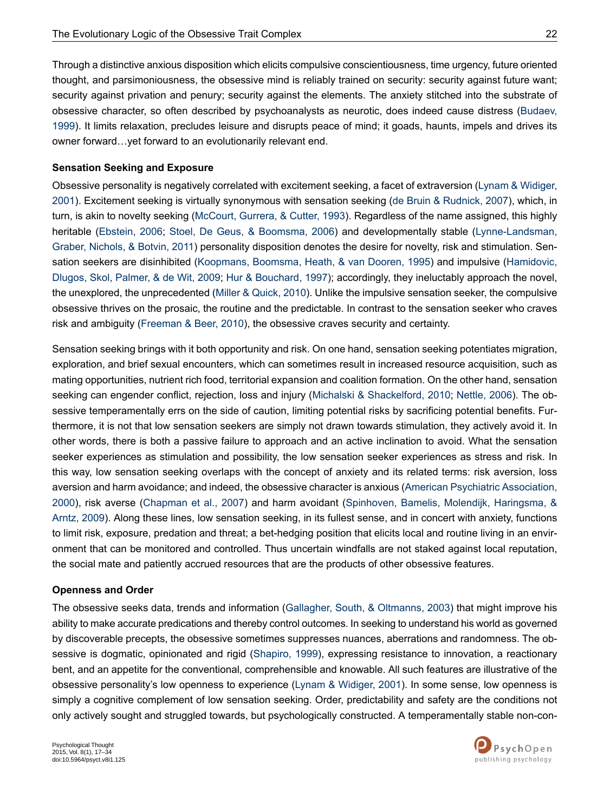Through a distinctive anxious disposition which elicits compulsive conscientiousness, time urgency, future oriented thought, and parsimoniousness, the obsessive mind is reliably trained on security: security against future want; security against privation and penury; security against the elements. The anxiety stitched into the substrate of obsessive character, so often described by psychoanalysts as neurotic, does indeed cause distress [\(Budaev,](#page-11-2) [1999](#page-11-2)). It limits relaxation, precludes leisure and disrupts peace of mind; it goads, haunts, impels and drives its owner forward…yet forward to an evolutionarily relevant end.

#### **Sensation Seeking and Exposure**

Obsessive personality is negatively correlated with excitement seeking, a facet of extraversion (Lynam & [Widiger,](#page-13-1) [2001](#page-13-1)). Excitement seeking is virtually synonymous with sensation seeking (de Bruin & [Rudnick,](#page-11-3) 2007), which, in turn, is akin to novelty seeking [\(McCourt,](#page-14-7) Gurrera, & Cutter, 1993). Regardless of the name assigned, this highly heritable ([Ebstein,](#page-11-4) 2006; Stoel, De Geus, & [Boomsma,](#page-15-11) 2006) and developmentally stable ([Lynne-Landsman,](#page-13-2) Graber, [Nichols,](#page-13-2) & Botvin, 2011) personality disposition denotes the desire for novelty, risk and stimulation. Sensation seekers are disinhibited [\(Koopmans,](#page-13-3) Boomsma, Heath, & van Dooren, 1995) and impulsive ([Hamidovic,](#page-12-7) [Dlugos,](#page-12-7) Skol, Palmer, & de Wit, 2009; Hur & [Bouchard,](#page-13-4) 1997); accordingly, they ineluctably approach the novel, the unexplored, the unprecedented (Miller & [Quick,](#page-14-8) 2010). Unlike the impulsive sensation seeker, the compulsive obsessive thrives on the prosaic, the routine and the predictable. In contrast to the sensation seeker who craves risk and ambiguity ([Freeman](#page-12-8) & Beer, 2010), the obsessive craves security and certainty.

Sensation seeking brings with it both opportunity and risk. On one hand, sensation seeking potentiates migration, exploration, and brief sexual encounters, which can sometimes result in increased resource acquisition, such as mating opportunities, nutrient rich food, territorial expansion and coalition formation. On the other hand, sensation seeking can engender conflict, rejection, loss and injury (Michalski & [Shackelford,](#page-14-9) 2010; [Nettle,](#page-14-10) 2006). The obsessive temperamentally errs on the side of caution, limiting potential risks by sacrificing potential benefits. Furthermore, it is not that low sensation seekers are simply not drawn towards stimulation, they actively avoid it. In other words, there is both a passive failure to approach and an active inclination to avoid. What the sensation seeker experiences as stimulation and possibility, the low sensation seeker experiences as stress and risk. In this way, low sensation seeking overlaps with the concept of anxiety and its related terms: risk aversion, loss aversion and harm avoidance; and indeed, the obsessive character is anxious (American Psychiatric [Association,](#page-10-1) [2000](#page-10-1)), risk averse ([Chapman](#page-11-5) et al., 2007) and harm avoidant (Spinhoven, Bamelis, Molendijk, [Haringsma,](#page-15-12) & [Arntz,](#page-15-12) 2009). Along these lines, low sensation seeking, in its fullest sense, and in concert with anxiety, functions to limit risk, exposure, predation and threat; a bet-hedging position that elicits local and routine living in an environment that can be monitored and controlled. Thus uncertain windfalls are not staked against local reputation, the social mate and patiently accrued resources that are the products of other obsessive features.

#### **Openness and Order**

The obsessive seeks data, trends and information (Gallagher, South, & [Oltmanns,](#page-12-9) 2003) that might improve his ability to make accurate predications and thereby control outcomes. In seeking to understand his world as governed by discoverable precepts, the obsessive sometimes suppresses nuances, aberrations and randomness. The obsessive is dogmatic, opinionated and rigid [\(Shapiro,](#page-15-6) 1999), expressing resistance to innovation, a reactionary bent, and an appetite for the conventional, comprehensible and knowable. All such features are illustrative of the obsessive personality's low openness to experience (Lynam & [Widiger,](#page-13-1) 2001). In some sense, low openness is simply a cognitive complement of low sensation seeking. Order, predictability and safety are the conditions not only actively sought and struggled towards, but psychologically constructed. A temperamentally stable non-con-

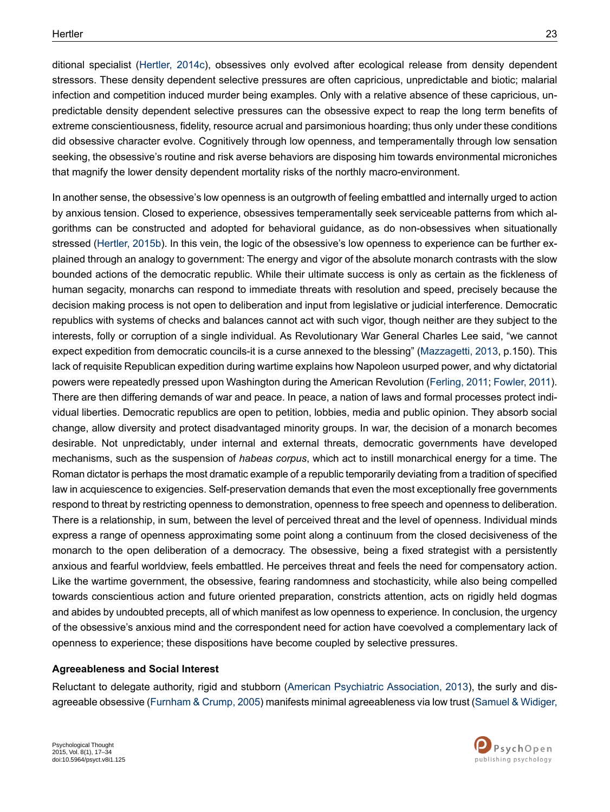ditional specialist ([Hertler,](#page-12-10) 2014c), obsessives only evolved after ecological release from density dependent stressors. These density dependent selective pressures are often capricious, unpredictable and biotic; malarial infection and competition induced murder being examples. Only with a relative absence of these capricious, unpredictable density dependent selective pressures can the obsessive expect to reap the long term benefits of extreme conscientiousness, fidelity, resource acrual and parsimonious hoarding; thus only under these conditions did obsessive character evolve. Cognitively through low openness, and temperamentally through low sensation seeking, the obsessive's routine and risk averse behaviors are disposing him towards environmental microniches that magnify the lower density dependent mortality risks of the northly macro-environment.

In another sense, the obsessive's low openness is an outgrowth of feeling embattled and internally urged to action by anxious tension. Closed to experience, obsessives temperamentally seek serviceable patterns from which algorithms can be constructed and adopted for behavioral guidance, as do non-obsessives when situationally stressed ([Hertler,](#page-13-5) 2015b). In this vein, the logic of the obsessive's low openness to experience can be further explained through an analogy to government: The energy and vigor of the absolute monarch contrasts with the slow bounded actions of the democratic republic. While their ultimate success is only as certain as the fickleness of human segacity, monarchs can respond to immediate threats with resolution and speed, precisely because the decision making process is not open to deliberation and input from legislative or judicial interference. Democratic republics with systems of checks and balances cannot act with such vigor, though neither are they subject to the interests, folly or corruption of a single individual. As Revolutionary War General Charles Lee said, "we cannot expect expedition from democratic councils-it is a curse annexed to the blessing" ([Mazzagetti,](#page-14-11) 2013, p.150). This lack of requisite Republican expedition during wartime explains how Napoleon usurped power, and why dictatorial powers were repeatedly pressed upon Washington during the American Revolution ([Ferling,](#page-11-6) 2011; [Fowler,](#page-12-11) 2011). There are then differing demands of war and peace. In peace, a nation of laws and formal processes protect individual liberties. Democratic republics are open to petition, lobbies, media and public opinion. They absorb social change, allow diversity and protect disadvantaged minority groups. In war, the decision of a monarch becomes desirable. Not unpredictably, under internal and external threats, democratic governments have developed mechanisms, such as the suspension of *habeas corpus*, which act to instill monarchical energy for a time. The Roman dictator is perhaps the most dramatic example of a republic temporarily deviating from a tradition of specified law in acquiescence to exigencies. Self-preservation demands that even the most exceptionally free governments respond to threat by restricting openness to demonstration, openness to free speech and openness to deliberation. There is a relationship, in sum, between the level of perceived threat and the level of openness. Individual minds express a range of openness approximating some point along a continuum from the closed decisiveness of the monarch to the open deliberation of a democracy. The obsessive, being a fixed strategist with a persistently anxious and fearful worldview, feels embattled. He perceives threat and feels the need for compensatory action. Like the wartime government, the obsessive, fearing randomness and stochasticity, while also being compelled towards conscientious action and future oriented preparation, constricts attention, acts on rigidly held dogmas and abides by undoubted precepts, all of which manifest as low openness to experience. In conclusion, the urgency of the obsessive's anxious mind and the correspondent need for action have coevolved a complementary lack of openness to experience; these dispositions have become coupled by selective pressures.

### **Agreeableness and Social Interest**

Reluctant to delegate authority, rigid and stubborn (American Psychiatric [Association,](#page-10-2) 2013), the surly and disagreeable obsessive ([Furnham](#page-12-2) & Crump, 2005) manifests minimal agreeableness via low trust (Samuel & [Widiger,](#page-15-5)

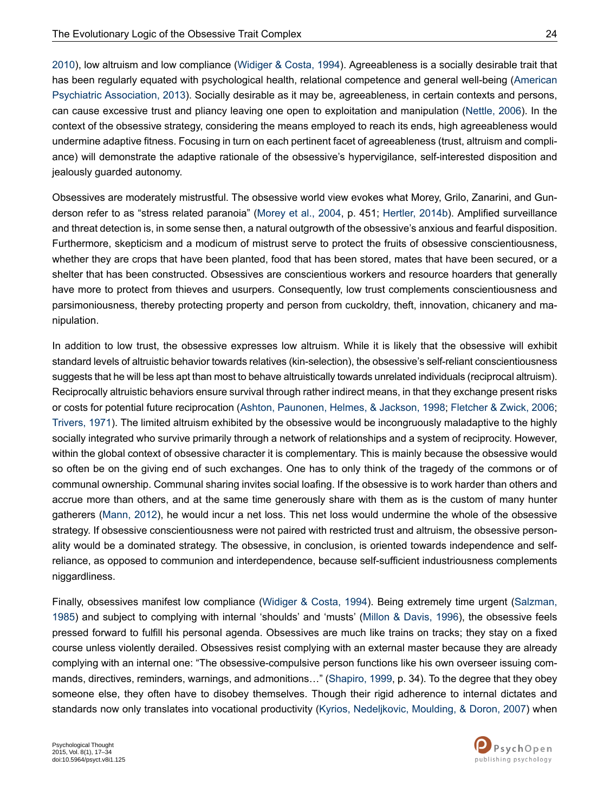[2010](#page-15-5)), low altruism and low compliance ([Widiger](#page-16-3) & Costa, 1994). Agreeableness is a socially desirable trait that has been regularly equated with psychological health, relational competence and general well-being [\(American](#page-10-2) Psychiatric [Association,](#page-10-2) 2013). Socially desirable as it may be, agreeableness, in certain contexts and persons, can cause excessive trust and pliancy leaving one open to exploitation and manipulation ([Nettle,](#page-14-10) 2006). In the context of the obsessive strategy, considering the means employed to reach its ends, high agreeableness would undermine adaptive fitness. Focusing in turn on each pertinent facet of agreeableness (trust, altruism and compliance) will demonstrate the adaptive rationale of the obsessive's hypervigilance, self-interested disposition and jealously guarded autonomy.

Obsessives are moderately mistrustful. The obsessive world view evokes what Morey, Grilo, Zanarini, and Gunderson refer to as "stress related paranoia" [\(Morey](#page-14-12) et al., 2004, p. 451; [Hertler,](#page-12-4) 2014b). Amplified surveillance and threat detection is, in some sense then, a natural outgrowth of the obsessive's anxious and fearful disposition. Furthermore, skepticism and a modicum of mistrust serve to protect the fruits of obsessive conscientiousness, whether they are crops that have been planted, food that has been stored, mates that have been secured, or a shelter that has been constructed. Obsessives are conscientious workers and resource hoarders that generally have more to protect from thieves and usurpers. Consequently, low trust complements conscientiousness and parsimoniousness, thereby protecting property and person from cuckoldry, theft, innovation, chicanery and manipulation.

In addition to low trust, the obsessive expresses low altruism. While it is likely that the obsessive will exhibit standard levels of altruistic behavior towards relatives (kin-selection), the obsessive's self-reliant conscientiousness suggests that he will be less apt than most to behave altruistically towards unrelated individuals (reciprocal altruism). Reciprocally altruistic behaviors ensure survival through rather indirect means, in that they exchange present risks or costs for potential future reciprocation (Ashton, [Paunonen,](#page-10-3) Helmes, & Jackson, 1998; [Fletcher](#page-12-12) & Zwick, 2006; [Trivers,](#page-16-10) 1971). The limited altruism exhibited by the obsessive would be incongruously maladaptive to the highly socially integrated who survive primarily through a network of relationships and a system of reciprocity. However, within the global context of obsessive character it is complementary. This is mainly because the obsessive would so often be on the giving end of such exchanges. One has to only think of the tragedy of the commons or of communal ownership. Communal sharing invites social loafing. If the obsessive is to work harder than others and accrue more than others, and at the same time generously share with them as is the custom of many hunter gatherers [\(Mann,](#page-13-6) 2012), he would incur a net loss. This net loss would undermine the whole of the obsessive strategy. If obsessive conscientiousness were not paired with restricted trust and altruism, the obsessive personality would be a dominated strategy. The obsessive, in conclusion, is oriented towards independence and selfreliance, as opposed to communion and interdependence, because self-sufficient industriousness complements niggardliness.

Finally, obsessives manifest low compliance [\(Widiger](#page-16-3) & Costa, 1994). Being extremely time urgent ([Salzman,](#page-15-1) [1985](#page-15-1)) and subject to complying with internal 'shoulds' and 'musts' (Millon & [Davis,](#page-14-4) 1996), the obsessive feels pressed forward to fulfill his personal agenda. Obsessives are much like trains on tracks; they stay on a fixed course unless violently derailed. Obsessives resist complying with an external master because they are already complying with an internal one: "The obsessive-compulsive person functions like his own overseer issuing commands, directives, reminders, warnings, and admonitions…" [\(Shapiro,](#page-15-6) 1999, p. 34). To the degree that they obey someone else, they often have to disobey themselves. Though their rigid adherence to internal dictates and standards now only translates into vocational productivity (Kyrios, [Nedeljkovic,](#page-13-7) Moulding, & Doron, 2007) when

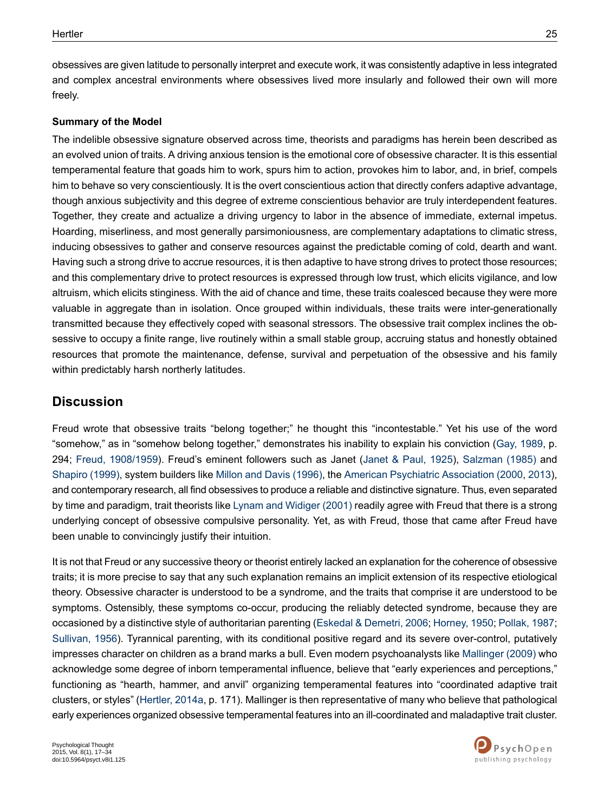obsessives are given latitude to personally interpret and execute work, it was consistently adaptive in less integrated and complex ancestral environments where obsessives lived more insularly and followed their own will more freely.

## **Summary of the Model**

The indelible obsessive signature observed across time, theorists and paradigms has herein been described as an evolved union of traits. A driving anxious tension is the emotional core of obsessive character. It is this essential temperamental feature that goads him to work, spurs him to action, provokes him to labor, and, in brief, compels him to behave so very conscientiously. It is the overt conscientious action that directly confers adaptive advantage, though anxious subjectivity and this degree of extreme conscientious behavior are truly interdependent features. Together, they create and actualize a driving urgency to labor in the absence of immediate, external impetus. Hoarding, miserliness, and most generally parsimoniousness, are complementary adaptations to climatic stress, inducing obsessives to gather and conserve resources against the predictable coming of cold, dearth and want. Having such a strong drive to accrue resources, it is then adaptive to have strong drives to protect those resources; and this complementary drive to protect resources is expressed through low trust, which elicits vigilance, and low altruism, which elicits stinginess. With the aid of chance and time, these traits coalesced because they were more valuable in aggregate than in isolation. Once grouped within individuals, these traits were inter-generationally transmitted because they effectively coped with seasonal stressors. The obsessive trait complex inclines the obsessive to occupy a finite range, live routinely within a small stable group, accruing status and honestly obtained resources that promote the maintenance, defense, survival and perpetuation of the obsessive and his family within predictably harsh northerly latitudes.

## **Discussion**

Freud wrote that obsessive traits "belong together;" he thought this "incontestable." Yet his use of the word "somehow," as in "somehow belong together," demonstrates his inability to explain his conviction (Gay, [1989](#page-12-1), p. 294; Freud, [1908/1959](#page-12-0)). Freud's eminent followers such as Janet ([Janet](#page-13-8) & Paul, 1925), [Salzman](#page-15-1) (1985) and [Shapiro](#page-15-6) (1999), system builders like Millon and Davis [\(1996\),](#page-14-4) the American Psychiatric [Association](#page-10-1) (2000, [2013](#page-10-2)), and contemporary research, all find obsessives to produce a reliable and distinctive signature. Thus, even separated by time and paradigm, trait theorists like Lynam and [Widiger](#page-13-1) (2001) readily agree with Freud that there is a strong underlying concept of obsessive compulsive personality. Yet, as with Freud, those that came after Freud have been unable to convincingly justify their intuition.

It is not that Freud or any successive theory or theorist entirely lacked an explanation for the coherence of obsessive traits; it is more precise to say that any such explanation remains an implicit extension of its respective etiological theory. Obsessive character is understood to be a syndrome, and the traits that comprise it are understood to be symptoms. Ostensibly, these symptoms co-occur, producing the reliably detected syndrome, because they are occasioned by a distinctive style of authoritarian parenting (Eskedal & [Demetri,](#page-11-7) 2006; [Horney,](#page-13-9) 1950; [Pollak,](#page-15-0) 1987; [Sullivan,](#page-16-11) 1956). Tyrannical parenting, with its conditional positive regard and its severe over-control, putatively impresses character on children as a brand marks a bull. Even modern psychoanalysts like [Mallinger](#page-13-10) (2009) who acknowledge some degree of inborn temperamental influence, believe that "early experiences and perceptions," functioning as "hearth, hammer, and anvil" organizing temperamental features into "coordinated adaptive trait clusters, or styles" [\(Hertler,](#page-12-3) 2014a, p. 171). Mallinger is then representative of many who believe that pathological early experiences organized obsessive temperamental features into an ill-coordinated and maladaptive trait cluster.

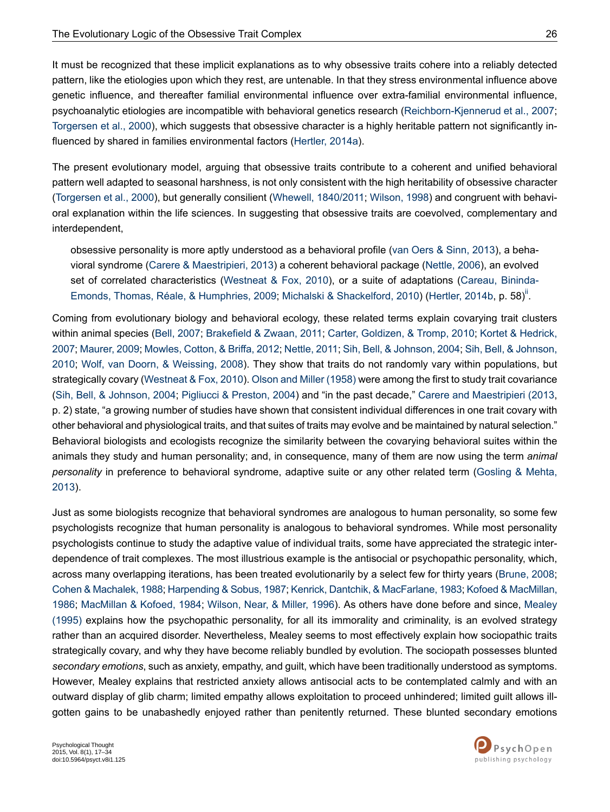It must be recognized that these implicit explanations as to why obsessive traits cohere into a reliably detected pattern, like the etiologies upon which they rest, are untenable. In that they stress environmental influence above genetic influence, and thereafter familial environmental influence over extra-familial environmental influence, psychoanalytic etiologies are incompatible with behavioral genetics research ([Reichborn-Kjennerud](#page-15-8) et al., 2007; [Torgersen](#page-16-4) et al., 2000), which suggests that obsessive character is a highly heritable pattern not significantly influenced by shared in families environmental factors [\(Hertler,](#page-12-3) 2014a).

The present evolutionary model, arguing that obsessive traits contribute to a coherent and unified behavioral pattern well adapted to seasonal harshness, is not only consistent with the high heritability of obsessive character [\(Torgersen](#page-16-4) et al., 2000), but generally consilient (Whewell, [1840/2011;](#page-16-12) [Wilson,](#page-16-13) 1998) and congruent with behavioral explanation within the life sciences. In suggesting that obsessive traits are coevolved, complementary and interdependent,

obsessive personality is more aptly understood as a behavioral profile (van Oers & [Sinn,](#page-16-14) 2013), a behavioral syndrome (Carere & [Maestripieri,](#page-11-8) 2013) a coherent behavioral package ([Nettle,](#page-14-10) 2006), an evolved set of correlated characteristics [\(Westneat](#page-16-15) & Fox, 2010), or a suite of adaptations (Careau, [Bininda-](#page-11-9)Emonds, Thomas, Réale, & [Humphries,](#page-11-9) 2009; Michalski & [Shackelford,](#page-14-9) 2010) ([Hertler,](#page-12-4) 2014b, p. 58)<sup>[ii](#page-10-4)</sup>.

Coming from evolutionary biology and behavioral ecology, these related terms explain covarying trait clusters within animal species (Bell, [2007;](#page-11-10) [Brakefield](#page-11-11) & Zwaan, 2011; Carter, [Goldizen,](#page-11-12) & Tromp, 2010; Kortet & [Hedrick,](#page-13-11) [2007](#page-13-11); [Maurer,](#page-13-12) 2009; [Mowles,](#page-14-13) Cotton, & Briffa, 2012; [Nettle,](#page-14-14) 2011; Sih, Bell, & [Johnson,](#page-15-13) 2004; Sih, Bell, & [Johnson,](#page-15-14) [2010](#page-15-14); Wolf, van Doorn, & [Weissing,](#page-16-16) 2008). They show that traits do not randomly vary within populations, but strategically covary ([Westneat](#page-16-15) & Fox, 2010). Olson and Miller [\(1958\)](#page-14-15) were among the first to study trait covariance (Sih, Bell, & [Johnson,](#page-15-13) 2004; Pigliucci & [Preston,](#page-15-15) 2004) and "in the past decade," Carere and [Maestripieri](#page-11-8) (2013, p. 2) state, "a growing number of studies have shown that consistent individual differences in one trait covary with other behavioral and physiological traits, and that suites of traits may evolve and be maintained by natural selection." Behavioral biologists and ecologists recognize the similarity between the covarying behavioral suites within the animals they study and human personality; and, in consequence, many of them are now using the term *animal personality* in preference to behavioral syndrome, adaptive suite or any other related term ([Gosling](#page-12-13) & Mehta, [2013](#page-12-13)).

Just as some biologists recognize that behavioral syndromes are analogous to human personality, so some few psychologists recognize that human personality is analogous to behavioral syndromes. While most personality psychologists continue to study the adaptive value of individual traits, some have appreciated the strategic interdependence of trait complexes. The most illustrious example is the antisocial or psychopathic personality, which, across many overlapping iterations, has been treated evolutionarily by a select few for thirty years [\(Brune,](#page-11-13) 2008; Cohen & [Machalek,1988](#page-11-14); Harpending & [Sobus,1987](#page-12-14); Kenrick, Dantchik, & [MacFarlane,1983](#page-13-13); Kofoed & [MacMillan,](#page-13-14) [1986](#page-13-14); [MacMillan](#page-13-15) & Kofoed, 1984; [Wilson,](#page-16-17) Near, & Miller, 1996). As others have done before and since, [Mealey](#page-14-5) [\(1995\)](#page-14-5) explains how the psychopathic personality, for all its immorality and criminality, is an evolved strategy rather than an acquired disorder. Nevertheless, Mealey seems to most effectively explain how sociopathic traits strategically covary, and why they have become reliably bundled by evolution. The sociopath possesses blunted *secondary emotions*, such as anxiety, empathy, and guilt, which have been traditionally understood as symptoms. However, Mealey explains that restricted anxiety allows antisocial acts to be contemplated calmly and with an outward display of glib charm; limited empathy allows exploitation to proceed unhindered; limited guilt allows illgotten gains to be unabashedly enjoyed rather than penitently returned. These blunted secondary emotions

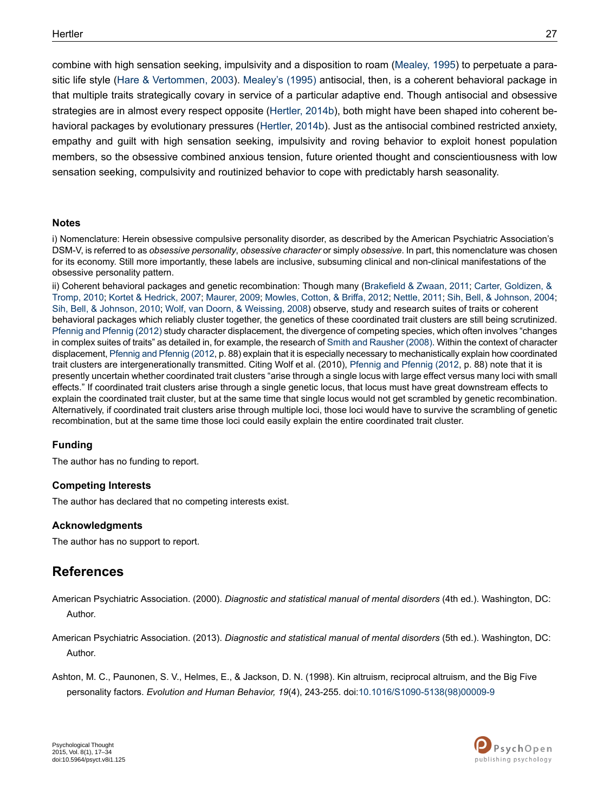combine with high sensation seeking, impulsivity and a disposition to roam ([Mealey,](#page-14-5) 1995) to perpetuate a parasitic life style (Hare & [Vertommen,](#page-12-15) 2003). [Mealey's](#page-14-5) (1995) antisocial, then, is a coherent behavioral package in that multiple traits strategically covary in service of a particular adaptive end. Though antisocial and obsessive strategies are in almost every respect opposite [\(Hertler,](#page-12-4) 2014b), both might have been shaped into coherent behavioral packages by evolutionary pressures ([Hertler,](#page-12-4) 2014b). Just as the antisocial combined restricted anxiety, empathy and guilt with high sensation seeking, impulsivity and roving behavior to exploit honest population members, so the obsessive combined anxious tension, future oriented thought and conscientiousness with low sensation seeking, compulsivity and routinized behavior to cope with predictably harsh seasonality.

#### <span id="page-10-0"></span>**Notes**

<span id="page-10-4"></span>i) Nomenclature: Herein obsessive compulsive personality disorder, as described by the American Psychiatric Association's DSM-V, is referred to as *obsessive personality*, *obsessive character* or simply *obsessive*. In part, this nomenclature was chosen for its economy. Still more importantly, these labels are inclusive, subsuming clinical and non-clinical manifestations of the obsessive personality pattern.

ii) Coherent behavioral packages and genetic recombination: Though many [\(Brakefield](#page-11-11) & Zwaan, 2011; Carter, [Goldizen,](#page-11-12) & [Tromp,](#page-11-12) 2010; Kortet & [Hedrick,](#page-13-11) 2007; [Maurer,](#page-13-12) 2009; [Mowles,](#page-14-13) Cotton, & Briffa, 2012; [Nettle,](#page-14-14) 2011; Sih, Bell, & [Johnson,](#page-15-13) 2004; Sih, Bell, & [Johnson,](#page-15-13) 2010; Wolf, van Doorn, & [Weissing,](#page-16-16) 2008) observe, study and research suites of traits or coherent behavioral packages which reliably cluster together, the genetics of these coordinated trait clusters are still being scrutinized. [Pfennig](#page-14-16) and Pfennig (2012) study character displacement, the divergence of competing species, which often involves "changes in complex suites of traits" as detailed in, for example, the research of Smith and [Rausher](#page-15-16) (2008). Within the context of character displacement, [Pfennig](#page-14-16) and Pfennig (2012, p. 88) explain that it is especially necessary to mechanistically explain how coordinated trait clusters are intergenerationally transmitted. Citing Wolf et al. (2010), Pfennig and [Pfennig](#page-14-16) (2012, p. 88) note that it is presently uncertain whether coordinated trait clusters "arise through a single locus with large effect versus many loci with small effects." If coordinated trait clusters arise through a single genetic locus, that locus must have great downstream effects to explain the coordinated trait cluster, but at the same time that single locus would not get scrambled by genetic recombination. Alternatively, if coordinated trait clusters arise through multiple loci, those loci would have to survive the scrambling of genetic recombination, but at the same time those loci could easily explain the entire coordinated trait cluster.

### **Funding**

The author has no funding to report.

#### **Competing Interests**

The author has declared that no competing interests exist.

#### **Acknowledgments**

<span id="page-10-1"></span>The author has no support to report.

## <span id="page-10-2"></span>**References**

<span id="page-10-3"></span>American Psychiatric Association. (2000). *Diagnostic and statistical manual of mental disorders* (4th ed.). Washington, DC: Author.

American Psychiatric Association. (2013). *Diagnostic and statistical manual of mental disorders* (5th ed.). Washington, DC: Author.

Ashton, M. C., Paunonen, S. V., Helmes, E., & Jackson, D. N. (1998). Kin altruism, reciprocal altruism, and the Big Five personality factors. *Evolution and Human Behavior, 19*(4), 243-255. doi[:10.1016/S1090-5138\(98\)00009-9](http://dx.doi.org/10.1016/S1090-5138(98)00009-9)

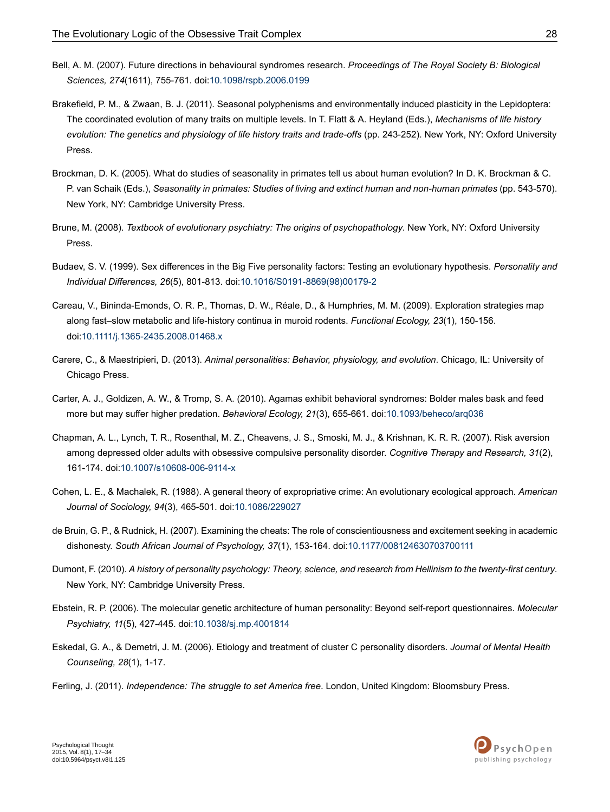- <span id="page-11-10"></span>Bell, A. M. (2007). Future directions in behavioural syndromes research. *Proceedings of The Royal Society B: Biological Sciences, 274*(1611), 755-761. doi:[10.1098/rspb.2006.0199](http://dx.doi.org/10.1098/rspb.2006.0199)
- <span id="page-11-11"></span>Brakefield, P. M., & Zwaan, B. J. (2011). Seasonal polyphenisms and environmentally induced plasticity in the Lepidoptera: The coordinated evolution of many traits on multiple levels. In T. Flatt & A. Heyland (Eds.), *Mechanisms of life history evolution: The genetics and physiology of life history traits and trade-offs* (pp. 243-252). New York, NY: Oxford University Press.
- <span id="page-11-1"></span>Brockman, D. K. (2005). What do studies of seasonality in primates tell us about human evolution? In D. K. Brockman & C. P. van Schaik (Eds.), *Seasonality in primates: Studies of living and extinct human and non-human primates* (pp. 543-570). New York, NY: Cambridge University Press.
- <span id="page-11-13"></span><span id="page-11-2"></span>Brune, M. (2008). *Textbook of evolutionary psychiatry: The origins of psychopathology*. New York, NY: Oxford University Press.
- <span id="page-11-9"></span>Budaev, S. V. (1999). Sex differences in the Big Five personality factors: Testing an evolutionary hypothesis. *Personality and Individual Differences, 26*(5), 801-813. doi:[10.1016/S0191-8869\(98\)00179-2](http://dx.doi.org/10.1016/S0191-8869(98)00179-2)
- <span id="page-11-8"></span>Careau, V., Bininda-Emonds, O. R. P., Thomas, D. W., Réale, D., & Humphries, M. M. (2009). Exploration strategies map along fast–slow metabolic and life-history continua in muroid rodents. *Functional Ecology, 23*(1), 150-156. doi:[10.1111/j.1365-2435.2008.01468.x](http://dx.doi.org/10.1111/j.1365-2435.2008.01468.x)
- <span id="page-11-12"></span>Carere, C., & Maestripieri, D. (2013). *Animal personalities: Behavior, physiology, and evolution*. Chicago, IL: University of Chicago Press.
- <span id="page-11-5"></span>Carter, A. J., Goldizen, A. W., & Tromp, S. A. (2010). Agamas exhibit behavioral syndromes: Bolder males bask and feed more but may suffer higher predation. *Behavioral Ecology, 21*(3), 655-661. doi[:10.1093/beheco/arq036](http://dx.doi.org/10.1093/beheco/arq036)
- <span id="page-11-14"></span>Chapman, A. L., Lynch, T. R., Rosenthal, M. Z., Cheavens, J. S., Smoski, M. J., & Krishnan, K. R. R. (2007). Risk aversion among depressed older adults with obsessive compulsive personality disorder. *Cognitive Therapy and Research, 31*(2), 161-174. doi:[10.1007/s10608-006-9114-x](http://dx.doi.org/10.1007/s10608-006-9114-x)
- <span id="page-11-3"></span><span id="page-11-0"></span>Cohen, L. E., & Machalek, R. (1988). A general theory of expropriative crime: An evolutionary ecological approach. *American Journal of Sociology, 94*(3), 465-501. doi[:10.1086/229027](http://dx.doi.org/10.1086/229027)
- <span id="page-11-4"></span>de Bruin, G. P., & Rudnick, H. (2007). Examining the cheats: The role of conscientiousness and excitement seeking in academic dishonesty. *South African Journal of Psychology, 37*(1), 153-164. doi:[10.1177/008124630703700111](http://dx.doi.org/10.1177/008124630703700111)
- <span id="page-11-7"></span>Dumont, F. (2010). A history of personality psychology: Theory, science, and research from Hellinism to the twenty-first century. New York, NY: Cambridge University Press.
- <span id="page-11-6"></span>Ebstein, R. P. (2006). The molecular genetic architecture of human personality: Beyond self-report questionnaires. *Molecular Psychiatry, 11*(5), 427-445. doi:[10.1038/sj.mp.4001814](http://dx.doi.org/10.1038/sj.mp.4001814)
- Eskedal, G. A., & Demetri, J. M. (2006). Etiology and treatment of cluster C personality disorders. *Journal of Mental Health Counseling, 28*(1), 1-17.
- Ferling, J. (2011). *Independence: The struggle to set America free*. London, United Kingdom: Bloomsbury Press.

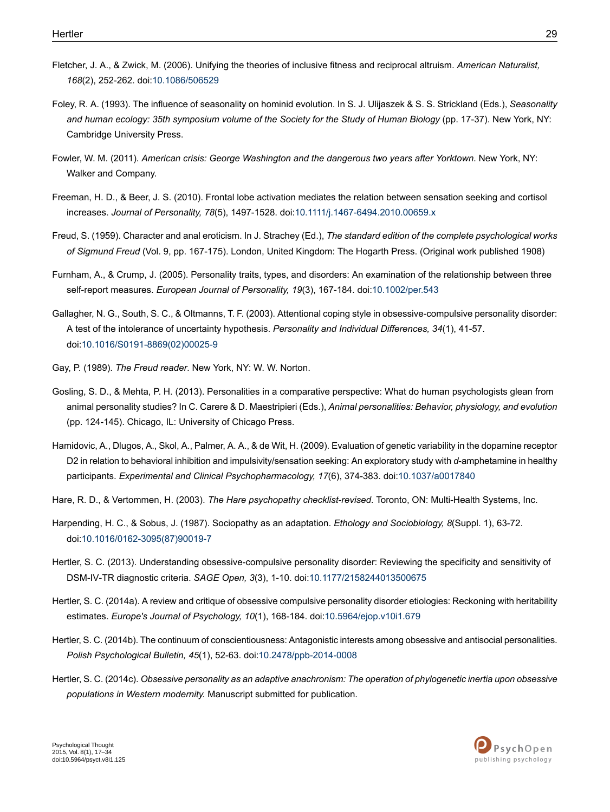- <span id="page-12-12"></span>Fletcher, J. A., & Zwick, M. (2006). Unifying the theories of inclusive fitness and reciprocal altruism. *American Naturalist, 168*(2), 252-262. doi:[10.1086/506529](http://dx.doi.org/10.1086/506529)
- <span id="page-12-6"></span>Foley, R. A. (1993). The influence of seasonality on hominid evolution. In S. J. Ulijaszek & S. S. Strickland (Eds.), *Seasonality and human ecology: 35th symposium volume of the Society for the Study of Human Biology* (pp. 17-37). New York, NY: Cambridge University Press.
- <span id="page-12-11"></span><span id="page-12-8"></span>Fowler, W. M. (2011). *American crisis: George Washington and the dangerous two years after Yorktown*. New York, NY: Walker and Company.
- <span id="page-12-0"></span>Freeman, H. D., & Beer, J. S. (2010). Frontal lobe activation mediates the relation between sensation seeking and cortisol increases. *Journal of Personality, 78*(5), 1497-1528. doi[:10.1111/j.1467-6494.2010.00659.x](http://dx.doi.org/10.1111/j.1467-6494.2010.00659.x)
- <span id="page-12-2"></span>Freud, S. (1959). Character and anal eroticism. In J. Strachey (Ed.), *The standard edition of the complete psychological works of Sigmund Freud* (Vol. 9, pp. 167-175). London, United Kingdom: The Hogarth Press. (Original work published 1908)
- <span id="page-12-9"></span>Furnham, A., & Crump, J. (2005). Personality traits, types, and disorders: An examination of the relationship between three self-report measures. *European Journal of Personality, 19*(3), 167-184. doi[:10.1002/per.543](http://dx.doi.org/10.1002/per.543)
- <span id="page-12-1"></span>Gallagher, N. G., South, S. C., & Oltmanns, T. F. (2003). Attentional coping style in obsessive-compulsive personality disorder: A test of the intolerance of uncertainty hypothesis. *Personality and Individual Differences, 34*(1), 41-57. doi:[10.1016/S0191-8869\(02\)00025-9](http://dx.doi.org/10.1016/S0191-8869(02)00025-9)
- <span id="page-12-13"></span>Gay, P. (1989). *The Freud reader*. New York, NY: W. W. Norton.
- <span id="page-12-7"></span>Gosling, S. D., & Mehta, P. H. (2013). Personalities in a comparative perspective: What do human psychologists glean from animal personality studies? In C. Carere & D. Maestripieri (Eds.), *Animal personalities: Behavior, physiology, and evolution* (pp. 124-145). Chicago, IL: University of Chicago Press.
- <span id="page-12-15"></span><span id="page-12-14"></span>Hamidovic, A., Dlugos, A., Skol, A., Palmer, A. A., & de Wit, H. (2009). Evaluation of genetic variability in the dopamine receptor D2 in relation to behavioral inhibition and impulsivity/sensation seeking: An exploratory study with *d*-amphetamine in healthy participants. *Experimental and Clinical Psychopharmacology, 17*(6), 374-383. doi[:10.1037/a0017840](http://dx.doi.org/10.1037/a0017840)
- <span id="page-12-5"></span>Hare, R. D., & Vertommen, H. (2003). *The Hare psychopathy checklist-revised*. Toronto, ON: Multi-Health Systems, Inc.
- <span id="page-12-3"></span>Harpending, H. C., & Sobus, J. (1987). Sociopathy as an adaptation. *Ethology and Sociobiology, 8*(Suppl. 1), 63-72. doi:[10.1016/0162-3095\(87\)90019-7](http://dx.doi.org/10.1016/0162-3095(87)90019-7)
- <span id="page-12-4"></span>Hertler, S. C. (2013). Understanding obsessive-compulsive personality disorder: Reviewing the specificity and sensitivity of DSM-IV-TR diagnostic criteria. *SAGE Open, 3*(3), 1-10. doi[:10.1177/2158244013500675](http://dx.doi.org/10.1177/2158244013500675)
- <span id="page-12-10"></span>Hertler, S. C. (2014a). A review and critique of obsessive compulsive personality disorder etiologies: Reckoning with heritability estimates. *Europe's Journal of Psychology, 10*(1), 168-184. doi[:10.5964/ejop.v10i1.679](http://dx.doi.org/10.5964/ejop.v10i1.679)
- Hertler, S. C. (2014b). The continuum of conscientiousness: Antagonistic interests among obsessive and antisocial personalities. *Polish Psychological Bulletin, 45*(1), 52-63. doi:[10.2478/ppb-2014-0008](http://dx.doi.org/10.2478/ppb-2014-0008)
- Hertler, S. C. (2014c). *Obsessive personality as an adaptive anachronism: The operation of phylogenetic inertia upon obsessive populations in Western modernity.* Manuscript submitted for publication.

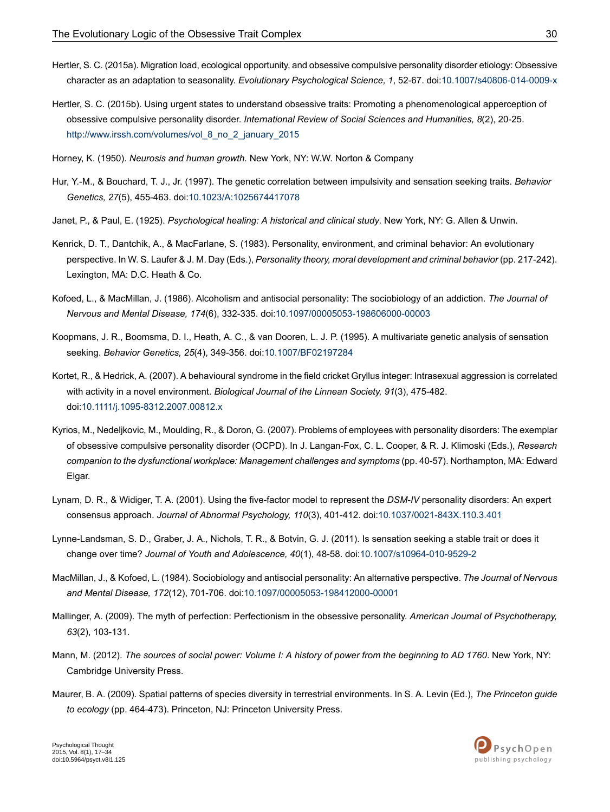- <span id="page-13-0"></span>Hertler, S. C. (2015a). Migration load, ecological opportunity, and obsessive compulsive personality disorder etiology: Obsessive character as an adaptation to seasonality. *Evolutionary Psychological Science, 1*, 52-67. doi[:10.1007/s40806-014-0009-x](http://dx.doi.org/10.1007/s40806-014-0009-x)
- <span id="page-13-5"></span>Hertler, S. C. (2015b). Using urgent states to understand obsessive traits: Promoting a phenomenological apperception of obsessive compulsive personality disorder. *International Review of Social Sciences and Humanities, 8*(2), 20-25. [http://www.irssh.com/volumes/vol\\_8\\_no\\_2\\_january\\_2015](http://www.irssh.com/volumes/vol_8_no_2_january_2015)
- <span id="page-13-9"></span><span id="page-13-4"></span>Horney, K. (1950). *Neurosis and human growth.* New York, NY: W.W. Norton & Company
- <span id="page-13-8"></span>Hur, Y.-M., & Bouchard, T. J., Jr. (1997). The genetic correlation between impulsivity and sensation seeking traits. *Behavior Genetics, 27*(5), 455-463. doi[:10.1023/A:1025674417078](http://dx.doi.org/10.1023/A:1025674417078)
- <span id="page-13-13"></span>Janet, P., & Paul, E. (1925). *Psychological healing: A historical and clinical study*. New York, NY: G. Allen & Unwin.
- <span id="page-13-14"></span>Kenrick, D. T., Dantchik, A., & MacFarlane, S. (1983). Personality, environment, and criminal behavior: An evolutionary perspective. In W. S. Laufer & J. M. Day (Eds.), *Personality theory, moral development and criminal behavior* (pp. 217-242). Lexington, MA: D.C. Heath & Co.
- <span id="page-13-3"></span>Kofoed, L., & MacMillan, J. (1986). Alcoholism and antisocial personality: The sociobiology of an addiction. *The Journal of Nervous and Mental Disease, 174*(6), 332-335. doi[:10.1097/00005053-198606000-00003](http://dx.doi.org/10.1097/00005053-198606000-00003)
- <span id="page-13-11"></span>Koopmans, J. R., Boomsma, D. I., Heath, A. C., & van Dooren, L. J. P. (1995). A multivariate genetic analysis of sensation seeking. *Behavior Genetics, 25*(4), 349-356. doi[:10.1007/BF02197284](http://dx.doi.org/10.1007/BF02197284)
- <span id="page-13-7"></span>Kortet, R., & Hedrick, A. (2007). A behavioural syndrome in the field cricket Gryllus integer: Intrasexual aggression is correlated with activity in a novel environment. *Biological Journal of the Linnean Society, 91*(3), 475-482. doi:[10.1111/j.1095-8312.2007.00812.x](http://dx.doi.org/10.1111/j.1095-8312.2007.00812.x)
- <span id="page-13-1"></span>Kyrios, M., Nedeljkovic, M., Moulding, R., & Doron, G. (2007). Problems of employees with personality disorders: The exemplar of obsessive compulsive personality disorder (OCPD). In J. Langan-Fox, C. L. Cooper, & R. J. Klimoski (Eds.), *Research companion to the dysfunctional workplace: Management challenges and symptoms* (pp. 40-57). Northampton, MA: Edward Elgar.
- <span id="page-13-15"></span><span id="page-13-2"></span>Lynam, D. R., & Widiger, T. A. (2001). Using the five-factor model to represent the *DSM-IV* personality disorders: An expert consensus approach. *Journal of Abnormal Psychology, 110*(3), 401-412. doi[:10.1037/0021-843X.110.3.401](http://dx.doi.org/10.1037/0021-843X.110.3.401)
- <span id="page-13-10"></span>Lynne-Landsman, S. D., Graber, J. A., Nichols, T. R., & Botvin, G. J. (2011). Is sensation seeking a stable trait or does it change over time? *Journal of Youth and Adolescence, 40*(1), 48-58. doi:[10.1007/s10964-010-9529-2](http://dx.doi.org/10.1007/s10964-010-9529-2)
- <span id="page-13-6"></span>MacMillan, J., & Kofoed, L. (1984). Sociobiology and antisocial personality: An alternative perspective. *The Journal of Nervous and Mental Disease, 172*(12), 701-706. doi[:10.1097/00005053-198412000-00001](http://dx.doi.org/10.1097/00005053-198412000-00001)
- <span id="page-13-12"></span>Mallinger, A. (2009). The myth of perfection: Perfectionism in the obsessive personality. *American Journal of Psychotherapy, 63*(2), 103-131.
- Mann, M. (2012). The sources of social power: Volume I: A history of power from the beginning to AD 1760. New York, NY: Cambridge University Press.
- Maurer, B. A. (2009). Spatial patterns of species diversity in terrestrial environments. In S. A. Levin (Ed.), *The Princeton guide to ecology* (pp. 464-473). Princeton, NJ: Princeton University Press.



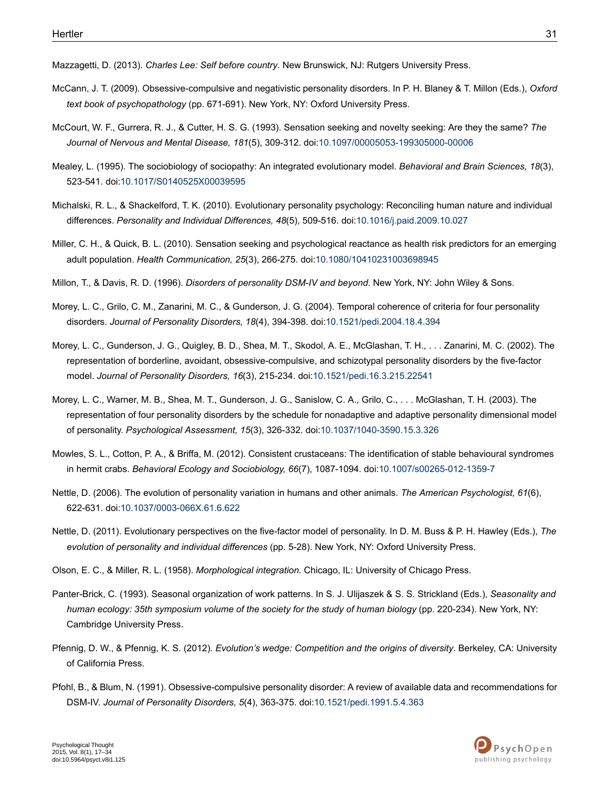<span id="page-14-11"></span>Mazzagetti, D. (2013). *Charles Lee: Self before country*. New Brunswick, NJ: Rutgers University Press.

- <span id="page-14-1"></span>McCann, J. T. (2009). Obsessive-compulsive and negativistic personality disorders. In P. H. Blaney & T. Millon (Eds.), *Oxford text book of psychopathology* (pp. 671-691). New York, NY: Oxford University Press.
- <span id="page-14-7"></span>McCourt, W. F., Gurrera, R. J., & Cutter, H. S. G. (1993). Sensation seeking and novelty seeking: Are they the same? *The Journal of Nervous and Mental Disease, 181*(5), 309-312. doi[:10.1097/00005053-199305000-00006](http://dx.doi.org/10.1097/00005053-199305000-00006)
- <span id="page-14-9"></span><span id="page-14-5"></span>Mealey, L. (1995). The sociobiology of sociopathy: An integrated evolutionary model. *Behavioral and Brain Sciences, 18*(3), 523-541. doi:[10.1017/S0140525X00039595](http://dx.doi.org/10.1017/S0140525X00039595)
- <span id="page-14-8"></span>Michalski, R. L., & Shackelford, T. K. (2010). Evolutionary personality psychology: Reconciling human nature and individual differences. *Personality and Individual Differences, 48*(5), 509-516. doi:[10.1016/j.paid.2009.10.027](http://dx.doi.org/10.1016/j.paid.2009.10.027)
- <span id="page-14-4"></span>Miller, C. H., & Quick, B. L. (2010). Sensation seeking and psychological reactance as health risk predictors for an emerging adult population. *Health Communication, 25*(3), 266-275. doi[:10.1080/10410231003698945](http://dx.doi.org/10.1080/10410231003698945)
- <span id="page-14-12"></span>Millon, T., & Davis, R. D. (1996). *Disorders of personality DSM-IV and beyond*. New York, NY: John Wiley & Sons.
- <span id="page-14-2"></span>Morey, L. C., Grilo, C. M., Zanarini, M. C., & Gunderson, J. G. (2004). Temporal coherence of criteria for four personality disorders. *Journal of Personality Disorders, 18*(4), 394-398. doi[:10.1521/pedi.2004.18.4.394](http://dx.doi.org/10.1521/pedi.2004.18.4.394)
- <span id="page-14-3"></span>Morey, L. C., Gunderson, J. G., Quigley, B. D., Shea, M. T., Skodol, A. E., McGlashan, T. H., . . . Zanarini, M. C. (2002). The representation of borderline, avoidant, obsessive-compulsive, and schizotypal personality disorders by the five-factor model. *Journal of Personality Disorders, 16*(3), 215-234. doi:[10.1521/pedi.16.3.215.22541](http://dx.doi.org/10.1521/pedi.16.3.215.22541)
- <span id="page-14-13"></span>Morey, L. C., Warner, M. B., Shea, M. T., Gunderson, J. G., Sanislow, C. A., Grilo, C., . . . McGlashan, T. H. (2003). The representation of four personality disorders by the schedule for nonadaptive and adaptive personality dimensional model of personality. *Psychological Assessment, 15*(3), 326-332. doi:[10.1037/1040-3590.15.3.326](http://dx.doi.org/10.1037/1040-3590.15.3.326)
- <span id="page-14-10"></span>Mowles, S. L., Cotton, P. A., & Briffa, M. (2012). Consistent crustaceans: The identification of stable behavioural syndromes in hermit crabs. *Behavioral Ecology and Sociobiology, 66*(7), 1087-1094. doi[:10.1007/s00265-012-1359-7](http://dx.doi.org/10.1007/s00265-012-1359-7)
- <span id="page-14-15"></span><span id="page-14-14"></span>Nettle, D. (2006). The evolution of personality variation in humans and other animals. *The American Psychologist, 61*(6), 622-631. doi:[10.1037/0003-066X.61.6.622](http://dx.doi.org/10.1037/0003-066X.61.6.622)
- <span id="page-14-6"></span>Nettle, D. (2011). Evolutionary perspectives on the five-factor model of personality. In D. M. Buss & P. H. Hawley (Eds.), *The evolution of personality and individual differences* (pp. 5-28). New York, NY: Oxford University Press.
- <span id="page-14-16"></span>Olson, E. C., & Miller, R. L. (1958). *Morphological integration*. Chicago, IL: University of Chicago Press.
- <span id="page-14-0"></span>Panter-Brick, C. (1993). Seasonal organization of work patterns. In S. J. Ulijaszek & S. S. Strickland (Eds.), *Seasonality and human ecology: 35th symposium volume of the society for the study of human biology* (pp. 220-234). New York, NY: Cambridge University Press.
- Pfennig, D. W., & Pfennig, K. S. (2012). *Evolution's wedge: Competition and the origins of diversity*. Berkeley, CA: University of California Press.
- Pfohl, B., & Blum, N. (1991). Obsessive-compulsive personality disorder: A review of available data and recommendations for DSM-IV. *Journal of Personality Disorders, 5*(4), 363-375. doi:[10.1521/pedi.1991.5.4.363](http://dx.doi.org/10.1521/pedi.1991.5.4.363)

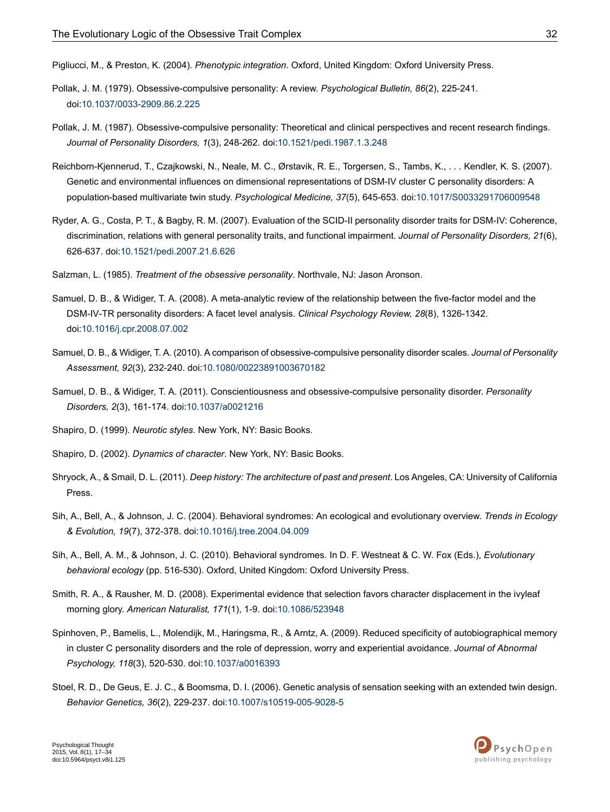<span id="page-15-15"></span>Pigliucci, M., & Preston, K. (2004). *Phenotypic integration*. Oxford, United Kingdom: Oxford University Press.

<span id="page-15-10"></span>Pollak, J. M. (1979). Obsessive-compulsive personality: A review. *Psychological Bulletin, 86*(2), 225-241. doi:[10.1037/0033-2909.86.2.225](http://dx.doi.org/10.1037/0033-2909.86.2.225)

- <span id="page-15-0"></span>Pollak, J. M. (1987). Obsessive-compulsive personality: Theoretical and clinical perspectives and recent research findings. *Journal of Personality Disorders, 1*(3), 248-262. doi[:10.1521/pedi.1987.1.3.248](http://dx.doi.org/10.1521/pedi.1987.1.3.248)
- <span id="page-15-8"></span>Reichborn-Kjennerud, T., Czajkowski, N., Neale, M. C., Ørstavik, R. E., Torgersen, S., Tambs, K., . . . Kendler, K. S. (2007). Genetic and environmental influences on dimensional representations of DSM-IV cluster C personality disorders: A population-based multivariate twin study. *Psychological Medicine, 37*(5), 645-653. doi:[10.1017/S0033291706009548](http://dx.doi.org/10.1017/S0033291706009548)
- <span id="page-15-7"></span><span id="page-15-1"></span>Ryder, A. G., Costa, P. T., & Bagby, R. M. (2007). Evaluation of the SCID-II personality disorder traits for DSM-IV: Coherence, discrimination, relations with general personality traits, and functional impairment. *Journal of Personality Disorders, 21*(6), 626-637. doi:[10.1521/pedi.2007.21.6.626](http://dx.doi.org/10.1521/pedi.2007.21.6.626)

<span id="page-15-3"></span>Salzman, L. (1985). *Treatment of the obsessive personality*. Northvale, NJ: Jason Aronson.

- <span id="page-15-5"></span>Samuel, D. B., & Widiger, T. A. (2008). A meta-analytic review of the relationship between the five-factor model and the DSM-IV-TR personality disorders: A facet level analysis. *Clinical Psychology Review, 28*(8), 1326-1342. doi:[10.1016/j.cpr.2008.07.002](http://dx.doi.org/10.1016/j.cpr.2008.07.002)
- <span id="page-15-4"></span>Samuel, D. B., & Widiger, T. A. (2010). A comparison of obsessive-compulsive personality disorder scales. *Journal of Personality Assessment, 92*(3), 232-240. doi:[10.1080/00223891003670182](http://dx.doi.org/10.1080/00223891003670182)
- <span id="page-15-6"></span><span id="page-15-2"></span>Samuel, D. B., & Widiger, T. A. (2011). Conscientiousness and obsessive-compulsive personality disorder. *Personality Disorders, 2*(3), 161-174. doi[:10.1037/a0021216](http://dx.doi.org/10.1037/a0021216)
- <span id="page-15-9"></span>Shapiro, D. (1999). *Neurotic styles*. New York, NY: Basic Books.
- <span id="page-15-13"></span>Shapiro, D. (2002). *Dynamics of character*. New York, NY: Basic Books.
- <span id="page-15-14"></span>Shryock, A., & Smail, D. L. (2011). *Deep history: The architecture of past and present*. Los Angeles, CA: University of California Press.
- <span id="page-15-16"></span>Sih, A., Bell, A., & Johnson, J. C. (2004). Behavioral syndromes: An ecological and evolutionary overview. *Trends in Ecology & Evolution, 19*(7), 372-378. doi[:10.1016/j.tree.2004.04.009](http://dx.doi.org/10.1016/j.tree.2004.04.009)
- <span id="page-15-12"></span>Sih, A., Bell, A. M., & Johnson, J. C. (2010). Behavioral syndromes. In D. F. Westneat & C. W. Fox (Eds.), *Evolutionary behavioral ecology* (pp. 516-530). Oxford, United Kingdom: Oxford University Press.
- Smith, R. A., & Rausher, M. D. (2008). Experimental evidence that selection favors character displacement in the ivyleaf morning glory. *American Naturalist, 171*(1), 1-9. doi:[10.1086/523948](http://dx.doi.org/10.1086/523948)
- <span id="page-15-11"></span>Spinhoven, P., Bamelis, L., Molendijk, M., Haringsma, R., & Arntz, A. (2009). Reduced specificity of autobiographical memory in cluster C personality disorders and the role of depression, worry and experiential avoidance. *Journal of Abnormal Psychology, 118*(3), 520-530. doi[:10.1037/a0016393](http://dx.doi.org/10.1037/a0016393)
- Stoel, R. D., De Geus, E. J. C., & Boomsma, D. I. (2006). Genetic analysis of sensation seeking with an extended twin design. *Behavior Genetics, 36*(2), 229-237. doi[:10.1007/s10519-005-9028-5](http://dx.doi.org/10.1007/s10519-005-9028-5)

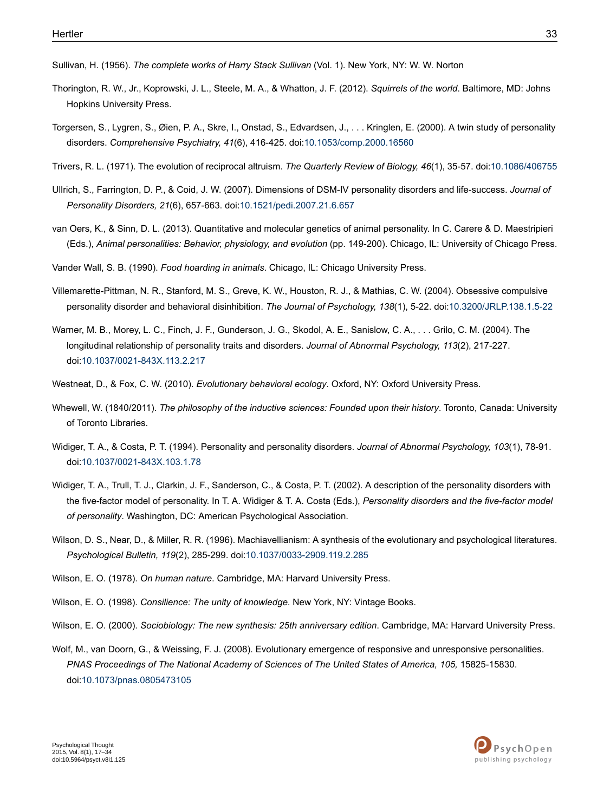- <span id="page-16-11"></span>Sullivan, H. (1956). *The complete works of Harry Stack Sullivan* (Vol. 1). New York, NY: W. W. Norton
- <span id="page-16-8"></span>Thorington, R. W., Jr., Koprowski, J. L., Steele, M. A., & Whatton, J. F. (2012). *Squirrels of the world*. Baltimore, MD: Johns Hopkins University Press.
- <span id="page-16-4"></span>Torgersen, S., Lygren, S., Øien, P. A., Skre, I., Onstad, S., Edvardsen, J., . . . Kringlen, E. (2000). A twin study of personality disorders. *Comprehensive Psychiatry, 41*(6), 416-425. doi[:10.1053/comp.2000.16560](http://dx.doi.org/10.1053/comp.2000.16560)
- <span id="page-16-10"></span><span id="page-16-5"></span>Trivers, R. L. (1971). The evolution of reciprocal altruism. *The Quarterly Review of Biology, 46*(1), 35-57. doi[:10.1086/406755](http://dx.doi.org/10.1086/406755)
- <span id="page-16-14"></span>Ullrich, S., Farrington, D. P., & Coid, J. W. (2007). Dimensions of DSM-IV personality disorders and life-success. *Journal of Personality Disorders, 21*(6), 657-663. doi[:10.1521/pedi.2007.21.6.657](http://dx.doi.org/10.1521/pedi.2007.21.6.657)
- <span id="page-16-9"></span>van Oers, K., & Sinn, D. L. (2013). Quantitative and molecular genetics of animal personality. In C. Carere & D. Maestripieri (Eds.), *Animal personalities: Behavior, physiology, and evolution* (pp. 149-200). Chicago, IL: University of Chicago Press.
- <span id="page-16-2"></span>Vander Wall, S. B. (1990). *Food hoarding in animals*. Chicago, IL: Chicago University Press.
- <span id="page-16-1"></span>Villemarette-Pittman, N. R., Stanford, M. S., Greve, K. W., Houston, R. J., & Mathias, C. W. (2004). Obsessive compulsive personality disorder and behavioral disinhibition. *The Journal of Psychology, 138*(1), 5-22. doi:[10.3200/JRLP.138.1.5-22](http://dx.doi.org/10.3200/JRLP.138.1.5-22)
- <span id="page-16-15"></span>Warner, M. B., Morey, L. C., Finch, J. F., Gunderson, J. G., Skodol, A. E., Sanislow, C. A., . . . Grilo, C. M. (2004). The longitudinal relationship of personality traits and disorders. *Journal of Abnormal Psychology, 113*(2), 217-227. doi:[10.1037/0021-843X.113.2.217](http://dx.doi.org/10.1037/0021-843X.113.2.217)
- <span id="page-16-12"></span>Westneat, D., & Fox, C. W. (2010). *Evolutionary behavioral ecology*. Oxford, NY: Oxford University Press.
- <span id="page-16-3"></span>Whewell, W. (1840/2011). *The philosophy of the inductive sciences: Founded upon their history*. Toronto, Canada: University of Toronto Libraries.
- <span id="page-16-0"></span>Widiger, T. A., & Costa, P. T. (1994). Personality and personality disorders. *Journal of Abnormal Psychology, 103*(1), 78-91. doi:[10.1037/0021-843X.103.1.78](http://dx.doi.org/10.1037/0021-843X.103.1.78)
- <span id="page-16-17"></span>Widiger, T. A., Trull, T. J., Clarkin, J. F., Sanderson, C., & Costa, P. T. (2002). A description of the personality disorders with the five-factor model of personality. In T. A. Widiger & T. A. Costa (Eds.), *Personality disorders and the five-factor model of personality*. Washington, DC: American Psychological Association.
- <span id="page-16-13"></span><span id="page-16-7"></span>Wilson, D. S., Near, D., & Miller, R. R. (1996). Machiavellianism: A synthesis of the evolutionary and psychological literatures. *Psychological Bulletin, 119*(2), 285-299. doi[:10.1037/0033-2909.119.2.285](http://dx.doi.org/10.1037/0033-2909.119.2.285)
- <span id="page-16-16"></span><span id="page-16-6"></span>Wilson, E. O. (1978). *On human nature*. Cambridge, MA: Harvard University Press.
- Wilson, E. O. (1998). *Consilience: The unity of knowledge*. New York, NY: Vintage Books.
- Wilson, E. O. (2000). *Sociobiology: The new synthesis: 25th anniversary edition*. Cambridge, MA: Harvard University Press.
- Wolf, M., van Doorn, G., & Weissing, F. J. (2008). Evolutionary emergence of responsive and unresponsive personalities. *PNAS Proceedings of The National Academy of Sciences of The United States of America, 105,* 15825-15830. doi:[10.1073/pnas.0805473105](http://dx.doi.org/10.1073/pnas.0805473105)